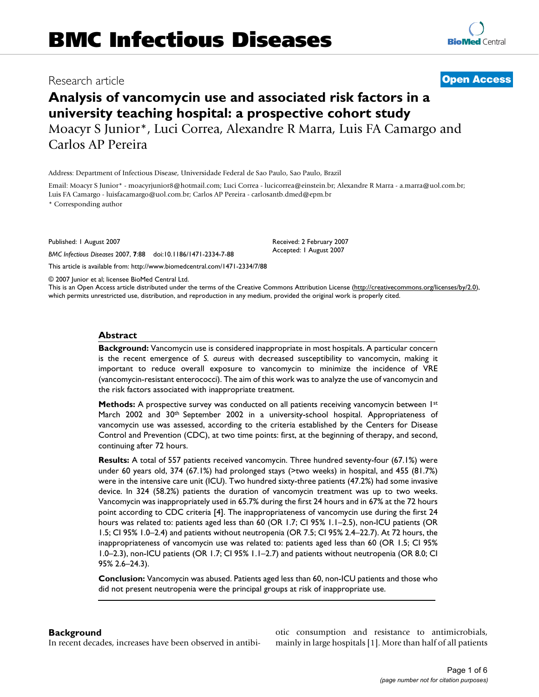## Research article **[Open Access](http://www.biomedcentral.com/info/about/charter/)**

# **Analysis of vancomycin use and associated risk factors in a university teaching hospital: a prospective cohort study** Moacyr S Junior\*, Luci Correa, Alexandre R Marra, Luis FA Camargo and Carlos AP Pereira

Address: Department of Infectious Disease, Universidade Federal de Sao Paulo, Sao Paulo, Brazil

Email: Moacyr S Junior\* - moacyrjunior8@hotmail.com; Luci Correa - lucicorrea@einstein.br; Alexandre R Marra - a.marra@uol.com.br; Luis FA Camargo - luisfacamargo@uol.com.br; Carlos AP Pereira - carlosantb.dmed@epm.br

\* Corresponding author

Published: 1 August 2007

*BMC Infectious Diseases* 2007, **7**:88 doi:10.1186/1471-2334-7-88

[This article is available from: http://www.biomedcentral.com/1471-2334/7/88](http://www.biomedcentral.com/1471-2334/7/88)

© 2007 Junior et al; licensee BioMed Central Ltd.

This is an Open Access article distributed under the terms of the Creative Commons Attribution License [\(http://creativecommons.org/licenses/by/2.0\)](http://creativecommons.org/licenses/by/2.0), which permits unrestricted use, distribution, and reproduction in any medium, provided the original work is properly cited.

Received: 2 February 2007 Accepted: 1 August 2007

#### **Abstract**

**Background:** Vancomycin use is considered inappropriate in most hospitals. A particular concern is the recent emergence of *S. aureus* with decreased susceptibility to vancomycin, making it important to reduce overall exposure to vancomycin to minimize the incidence of VRE (vancomycin-resistant enterococci). The aim of this work was to analyze the use of vancomycin and the risk factors associated with inappropriate treatment.

**Methods:** A prospective survey was conducted on all patients receiving vancomycin between 1st March 2002 and 30th September 2002 in a university-school hospital. Appropriateness of vancomycin use was assessed, according to the criteria established by the Centers for Disease Control and Prevention (CDC), at two time points: first, at the beginning of therapy, and second, continuing after 72 hours.

**Results:** A total of 557 patients received vancomycin. Three hundred seventy-four (67.1%) were under 60 years old, 374 (67.1%) had prolonged stays (>two weeks) in hospital, and 455 (81.7%) were in the intensive care unit (ICU). Two hundred sixty-three patients (47.2%) had some invasive device. In 324 (58.2%) patients the duration of vancomycin treatment was up to two weeks. Vancomycin was inappropriately used in 65.7% during the first 24 hours and in 67% at the 72 hours point according to CDC criteria [4]. The inappropriateness of vancomycin use during the first 24 hours was related to: patients aged less than 60 (OR 1.7; CI 95% 1.1-2.5), non-ICU patients (OR 1.5; CI 95% 1.0–2.4) and patients without neutropenia (OR 7.5; CI 95% 2.4–22.7). At 72 hours, the inappropriateness of vancomycin use was related to: patients aged less than 60 (OR 1.5; CI 95% 1.0–2.3), non-ICU patients (OR 1.7; CI 95% 1.1–2.7) and patients without neutropenia (OR 8.0; CI 95% 2.6–24.3).

**Conclusion:** Vancomycin was abused. Patients aged less than 60, non-ICU patients and those who did not present neutropenia were the principal groups at risk of inappropriate use.

#### **Background**

In recent decades, increases have been observed in antibi-

otic consumption and resistance to antimicrobials, mainly in large hospitals [1]. More than half of all patients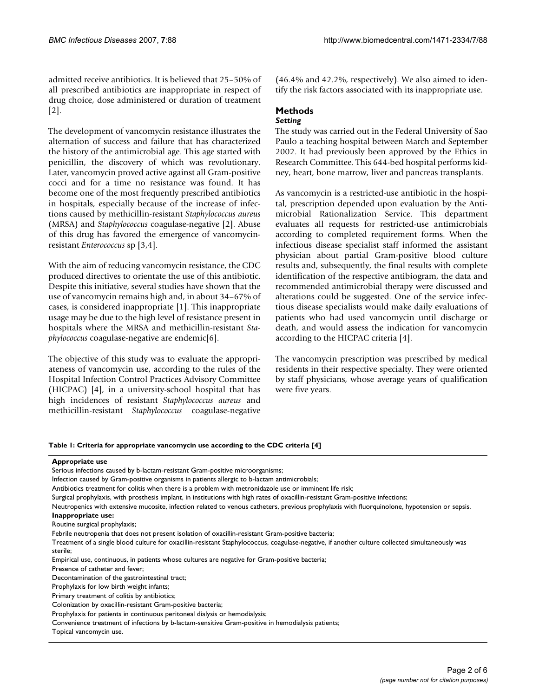admitted receive antibiotics. It is believed that 25–50% of all prescribed antibiotics are inappropriate in respect of drug choice, dose administered or duration of treatment [2].

The development of vancomycin resistance illustrates the alternation of success and failure that has characterized the history of the antimicrobial age. This age started with penicillin, the discovery of which was revolutionary. Later, vancomycin proved active against all Gram-positive cocci and for a time no resistance was found. It has become one of the most frequently prescribed antibiotics in hospitals, especially because of the increase of infections caused by methicillin-resistant *Staphylococcus aureus* (MRSA) and *Staphylococcus* coagulase-negative [2]. Abuse of this drug has favored the emergence of vancomycinresistant *Enterococcus* sp [3,4].

With the aim of reducing vancomycin resistance, the CDC produced directives to orientate the use of this antibiotic. Despite this initiative, several studies have shown that the use of vancomycin remains high and, in about 34–67% of cases, is considered inappropriate [1]. This inappropriate usage may be due to the high level of resistance present in hospitals where the MRSA and methicillin-resistant *Staphylococcus* coagulase-negative are endemic[6].

The objective of this study was to evaluate the appropriateness of vancomycin use, according to the rules of the Hospital Infection Control Practices Advisory Committee (HICPAC) [4], in a university-school hospital that has high incidences of resistant *Staphylococcus aureus* and methicillin-resistant *Staphylococcus* coagulase-negative (46.4% and 42.2%, respectively). We also aimed to identify the risk factors associated with its inappropriate use.

## **Methods**

#### *Setting*

The study was carried out in the Federal University of Sao Paulo a teaching hospital between March and September 2002. It had previously been approved by the Ethics in Research Committee. This 644-bed hospital performs kidney, heart, bone marrow, liver and pancreas transplants.

As vancomycin is a restricted-use antibiotic in the hospital, prescription depended upon evaluation by the Antimicrobial Rationalization Service. This department evaluates all requests for restricted-use antimicrobials according to completed requirement forms. When the infectious disease specialist staff informed the assistant physician about partial Gram-positive blood culture results and, subsequently, the final results with complete identification of the respective antibiogram, the data and recommended antimicrobial therapy were discussed and alterations could be suggested. One of the service infectious disease specialists would make daily evaluations of patients who had used vancomycin until discharge or death, and would assess the indication for vancomycin according to the HICPAC criteria [4].

The vancomycin prescription was prescribed by medical residents in their respective specialty. They were oriented by staff physicians, whose average years of qualification were five years.

#### **Table 1: Criteria for appropriate vancomycin use according to the CDC criteria [4]**

#### **Appropriate use**

- Serious infections caused by b-lactam-resistant Gram-positive microorganisms;
- Infection caused by Gram-positive organisms in patients allergic to b-lactam antimicrobials;

Antibiotics treatment for colitis when there is a problem with metronidazole use or imminent life risk;

Surgical prophylaxis, with prosthesis implant, in institutions with high rates of oxacillin-resistant Gram-positive infections;

Neutropenics with extensive mucosite, infection related to venous catheters, previous prophylaxis with fluorquinolone, hypotension or sepsis. **Inappropriate use:**

Empirical use, continuous, in patients whose cultures are negative for Gram-positive bacteria;

Routine surgical prophylaxis;

Febrile neutropenia that does not present isolation of oxacillin-resistant Gram-positive bacteria;

Treatment of a single blood culture for oxacillin-resistant Staphylococcus, coagulase-negative, if another culture collected simultaneously was sterile;

Presence of catheter and fever;

Decontamination of the gastrointestinal tract;

Prophylaxis for low birth weight infants;

Primary treatment of colitis by antibiotics;

Colonization by oxacillin-resistant Gram-positive bacteria;

Prophylaxis for patients in continuous peritoneal dialysis or hemodialysis;

Convenience treatment of infections by b-lactam-sensitive Gram-positive in hemodialysis patients;

Topical vancomycin use.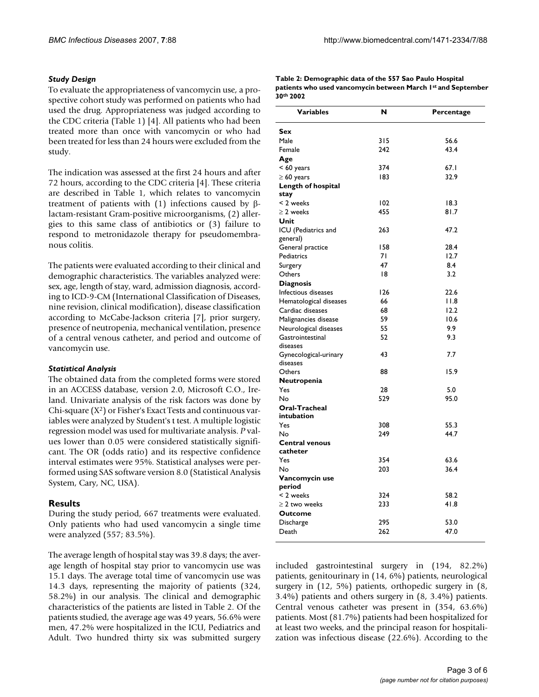**Table 2: Demographic data of the 557 Sao Paulo Hospital patients who used vancomycin between March 1st and September** 

**30th 2002**

#### *Study Design*

To evaluate the appropriateness of vancomycin use, a prospective cohort study was performed on patients who had used the drug. Appropriateness was judged according to the CDC criteria (Table 1) [4]. All patients who had been treated more than once with vancomycin or who had been treated for less than 24 hours were excluded from the study.

The indication was assessed at the first 24 hours and after 72 hours, according to the CDC criteria [4]. These criteria are described in Table 1, which relates to vancomycin treatment of patients with (1) infections caused by βlactam-resistant Gram-positive microorganisms, (2) allergies to this same class of antibiotics or (3) failure to respond to metronidazole therapy for pseudomembranous colitis.

The patients were evaluated according to their clinical and demographic characteristics. The variables analyzed were: sex, age, length of stay, ward, admission diagnosis, according to ICD-9-CM (International Classification of Diseases, nine revision, clinical modification), disease classification according to McCabe-Jackson criteria [7], prior surgery, presence of neutropenia, mechanical ventilation, presence of a central venous catheter, and period and outcome of vancomycin use.

#### *Statistical Analysis*

The obtained data from the completed forms were stored in an ACCESS database, version 2.0, Microsoft C.O., Ireland. Univariate analysis of the risk factors was done by Chi-square (X2) or Fisher's Exact Tests and continuous variables were analyzed by Student's t test. A multiple logistic regression model was used for multivariate analysis. *P* values lower than 0.05 were considered statistically significant. The OR (odds ratio) and its respective confidence interval estimates were 95%. Statistical analyses were performed using SAS software version 8.0 (Statistical Analysis System, Cary, NC, USA).

### **Results**

During the study period, 667 treatments were evaluated. Only patients who had used vancomycin a single time were analyzed (557; 83.5%).

The average length of hospital stay was 39.8 days; the average length of hospital stay prior to vancomycin use was 15.1 days. The average total time of vancomycin use was 14.3 days, representing the majority of patients (324, 58.2%) in our analysis. The clinical and demographic characteristics of the patients are listed in Table 2. Of the patients studied, the average age was 49 years, 56.6% were men, 47.2% were hospitalized in the ICU, Pediatrics and Adult. Two hundred thirty six was submitted surgery

| <b>Variables</b>                | N   | Percentage  |
|---------------------------------|-----|-------------|
| Sex                             |     |             |
| Male                            | 315 | 56.6        |
| Female                          | 242 | 43.4        |
| Age                             |     |             |
| $< 60$ years                    | 374 | 67.1        |
| $\geq 60$ years                 | 183 | 32.9        |
| Length of hospital              |     |             |
| stay                            |     |             |
| < 2 weeks                       | 102 | 18.3        |
| $\geq$ 2 weeks                  | 455 | 81.7        |
| Unit                            |     |             |
| ICU (Pediatrics and<br>general) | 263 | 47.2        |
| General practice                | 158 | 28.4        |
| Pediatrics                      | 71  | 12.7        |
| Surgery                         | 47  | 8.4         |
| Others                          | 18  | 3.2         |
| <b>Diagnosis</b>                |     |             |
| Infectious diseases             | 126 | 22.6        |
| Hematological diseases          | 66  | 11.8        |
| Cardiac diseases                | 68  | 12.2        |
| Malignancies disease            | 59  | 10.6        |
| Neurological diseases           | 55  | 9.9         |
| Gastrointestinal                | 52  | 9.3         |
| diseases                        |     |             |
| Gynecological-urinary           | 43  | 7.7         |
| diseases                        |     |             |
| Others                          | 88  | 15.9        |
| Neutropenia                     |     |             |
| Yes<br>No.                      | 28  | 5.0<br>95.0 |
| Oral-Tracheal                   | 529 |             |
| intubation                      |     |             |
| Yes                             | 308 | 55.3        |
| No                              | 249 | 44.7        |
| <b>Central venous</b>           |     |             |
| catheter                        |     |             |
| Yes                             | 354 | 63.6        |
| No                              | 203 | 36.4        |
| Vancomycin use                  |     |             |
| period                          |     |             |
| < 2 weeks                       | 324 | 58.2        |
| $\geq$ 2 two weeks              | 233 | 41.8        |
| <b>Outcome</b>                  |     |             |
| Discharge                       | 295 | 53.0        |
| Death                           | 262 | 47.0        |

included gastrointestinal surgery in (194, 82.2%) patients, genitourinary in (14, 6%) patients, neurological surgery in (12, 5%) patients, orthopedic surgery in (8, 3.4%) patients and others surgery in (8, 3.4%) patients. Central venous catheter was present in (354, 63.6%) patients. Most (81.7%) patients had been hospitalized for at least two weeks, and the principal reason for hospitalization was infectious disease (22.6%). According to the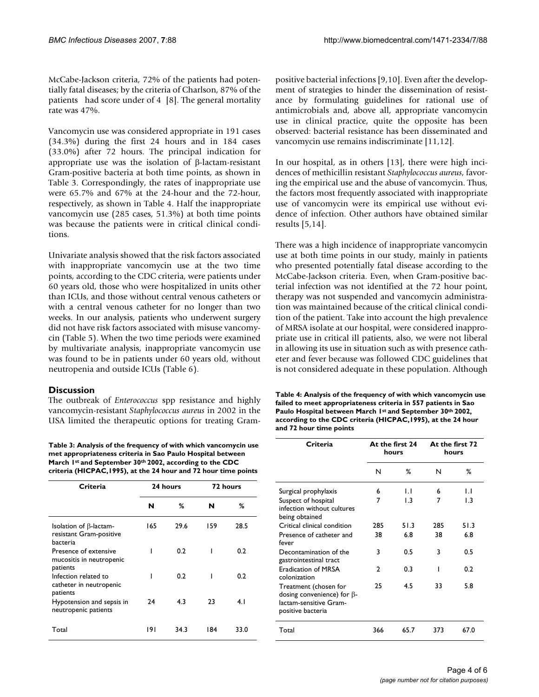McCabe-Jackson criteria, 72% of the patients had potentially fatal diseases; by the criteria of Charlson, 87% of the patients had score under of 4 [8]. The general mortality rate was 47%.

Vancomycin use was considered appropriate in 191 cases (34.3%) during the first 24 hours and in 184 cases (33.0%) after 72 hours. The principal indication for appropriate use was the isolation of β-lactam-resistant Gram-positive bacteria at both time points, as shown in Table 3. Correspondingly, the rates of inappropriate use were 65.7% and 67% at the 24-hour and the 72-hour, respectively, as shown in Table 4. Half the inappropriate vancomycin use (285 cases, 51.3%) at both time points was because the patients were in critical clinical conditions.

Univariate analysis showed that the risk factors associated with inappropriate vancomycin use at the two time points, according to the CDC criteria, were patients under 60 years old, those who were hospitalized in units other than ICUs, and those without central venous catheters or with a central venous catheter for no longer than two weeks. In our analysis, patients who underwent surgery did not have risk factors associated with misuse vancomycin (Table 5). When the two time periods were examined by multivariate analysis, inappropriate vancomycin use was found to be in patients under 60 years old, without neutropenia and outside ICUs (Table 6).

#### **Discussion**

The outbreak of *Enterococcus* spp resistance and highly vancomycin-resistant *Staphylococcus aureus* in 2002 in the USA limited the therapeutic options for treating Gram-

**Table 3: Analysis of the frequency of with which vancomycin use met appropriateness criteria in Sao Paulo Hospital between March 1st and September 30th 2002, according to the CDC criteria (HICPAC,1995), at the 24 hour and 72 hour time points**

| Criteria                                                             | 24 hours |      | 72 hours |      |
|----------------------------------------------------------------------|----------|------|----------|------|
|                                                                      | N        | ℅    | N        | ℅    |
| Isolation of $\beta$ -lactam-<br>resistant Gram-positive<br>bacteria | 165      | 29.6 | 159      | 28.5 |
| Presence of extensive<br>mucositis in neutropenic<br>patients        | ı        | 0.2  | ı        | 0.2  |
| Infection related to<br>catheter in neutropenic<br>patients          | ı        | 0.2  | ı        | 0.2  |
| Hypotension and sepsis in<br>neutropenic patients                    | 24       | 4.3  | 23       | 4.1  |
| Total                                                                | 191      | 34.3 | 184      | 33.0 |

positive bacterial infections [9,10]. Even after the development of strategies to hinder the dissemination of resistance by formulating guidelines for rational use of antimicrobials and, above all, appropriate vancomycin use in clinical practice, quite the opposite has been observed: bacterial resistance has been disseminated and vancomycin use remains indiscriminate [11,12].

In our hospital, as in others [\[13\]](#page-5-0), there were high incidences of methicillin resistant *Staphylococcus aureus*, favoring the empirical use and the abuse of vancomycin. Thus, the factors most frequently associated with inappropriate use of vancomycin were its empirical use without evidence of infection. Other authors have obtained similar results [5,14].

There was a high incidence of inappropriate vancomycin use at both time points in our study, mainly in patients who presented potentially fatal disease according to the McCabe-Jackson criteria. Even, when Gram-positive bacterial infection was not identified at the 72 hour point, therapy was not suspended and vancomycin administration was maintained because of the critical clinical condition of the patient. Take into account the high prevalence of MRSA isolate at our hospital, were considered inappropriate use in critical ill patients, also, we were not liberal in allowing its use in situation such as with presence catheter and fever because was followed CDC guidelines that is not considered adequate in these population. Although

**Table 4: Analysis of the frequency of with which vancomycin use failed to meet appropriateness criteria in 557 patients in Sao Paulo Hospital between March 1st and September 30th 2002, according to the CDC criteria (HICPAC,1995), at the 24 hour and 72 hour time points**

| Criteria                                                                                                  | At the first 24<br>hours |                         | At the first 72<br>hours |      |
|-----------------------------------------------------------------------------------------------------------|--------------------------|-------------------------|--------------------------|------|
|                                                                                                           | N                        | ℅                       | N                        | %    |
| Surgical prophylaxis                                                                                      | 6                        | $\mathsf{L} \mathsf{L}$ | 6                        | IJ   |
| Suspect of hospital<br>infection without cultures<br>being obtained                                       | 7                        | 1.3                     | 7                        | I.3  |
| Critical clinical condition                                                                               | 285                      | 51.3                    | 285                      | 51.3 |
| Presence of catheter and<br>fever                                                                         | 38                       | 6.8                     | 38                       | 6.8  |
| Decontamination of the<br>gastrointestinal tract                                                          | 3                        | 0.5                     | 3                        | 0.5  |
| <b>Fradication of MRSA</b><br>colonization                                                                | $\mathcal{P}$            | 0.3                     | ı                        | 0.2  |
| Treatment (chosen for<br>dosing convenience) for $\beta$ -<br>lactam-sensitive Gram-<br>positive bacteria | 25                       | 4.5                     | 33                       | 5.8  |
| Total                                                                                                     | 366                      | 65.7                    | 373                      | 67.0 |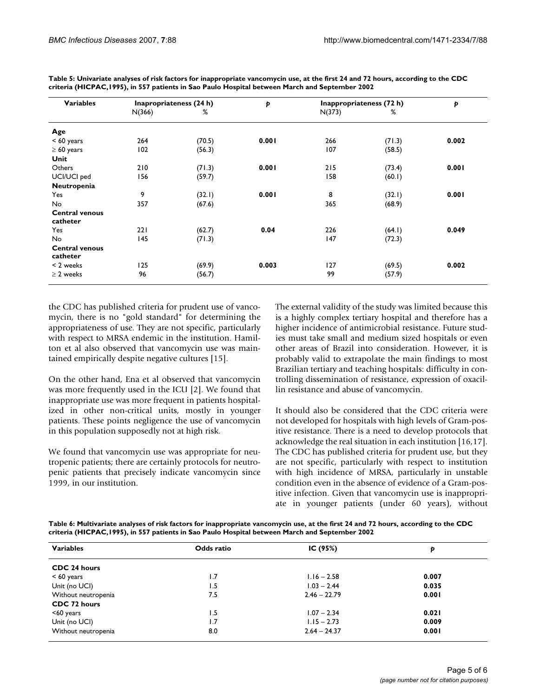| <b>Variables</b>                  | Inapropriateness (24 h) |        | Þ     | Inappropriateness (72 h) | Þ      |       |
|-----------------------------------|-------------------------|--------|-------|--------------------------|--------|-------|
|                                   | N(366)                  | %      |       | N(373)                   | %      |       |
| Age                               |                         |        |       |                          |        |       |
| $< 60$ years                      | 264                     | (70.5) | 0.001 | 266                      | (71.3) | 0.002 |
| $\geq 60$ years                   | 102                     | (56.3) |       | 107                      | (58.5) |       |
| Unit                              |                         |        |       |                          |        |       |
| Others                            | 210                     | (71.3) | 0.001 | 215                      | (73.4) | 0.001 |
| UCI/UCI ped                       | 156                     | (59.7) |       | 158                      | (60.1) |       |
| Neutropenia                       |                         |        |       |                          |        |       |
| Yes                               | 9                       | (32.1) | 0.001 | 8                        | (32.1) | 0.001 |
| <b>No</b>                         | 357                     | (67.6) |       | 365                      | (68.9) |       |
| <b>Central venous</b><br>catheter |                         |        |       |                          |        |       |
| <b>Yes</b>                        | 221                     | (62.7) | 0.04  | 226                      | (64.1) | 0.049 |
| No.                               | 145                     | (71.3) |       | 147                      | (72.3) |       |
| <b>Central venous</b><br>catheter |                         |        |       |                          |        |       |
| < 2 weeks                         | 125                     | (69.9) | 0.003 | 127                      | (69.5) | 0.002 |
| $\geq$ 2 weeks                    | 96                      | (56.7) |       | 99                       | (57.9) |       |

**Table 5: Univariate analyses of risk factors for inappropriate vancomycin use, at the first 24 and 72 hours, according to the CDC criteria (HICPAC,1995), in 557 patients in Sao Paulo Hospital between March and September 2002**

the CDC has published criteria for prudent use of vancomycin, there is no "gold standard" for determining the appropriateness of use. They are not specific, particularly with respect to MRSA endemic in the institution. Hamilton et al also observed that vancomycin use was maintained empirically despite negative cultures [15].

On the other hand, Ena et al observed that vancomycin was more frequently used in the ICU [2]. We found that inappropriate use was more frequent in patients hospitalized in other non-critical units, mostly in younger patients. These points negligence the use of vancomycin in this population supposedly not at high risk.

We found that vancomycin use was appropriate for neutropenic patients; there are certainly protocols for neutropenic patients that precisely indicate vancomycin since 1999, in our institution.

The external validity of the study was limited because this is a highly complex tertiary hospital and therefore has a higher incidence of antimicrobial resistance. Future studies must take small and medium sized hospitals or even other areas of Brazil into consideration. However, it is probably valid to extrapolate the main findings to most Brazilian tertiary and teaching hospitals: difficulty in controlling dissemination of resistance, expression of oxacillin resistance and abuse of vancomycin.

It should also be considered that the CDC criteria were not developed for hospitals with high levels of Gram-positive resistance. There is a need to develop protocols that acknowledge the real situation in each institution [16,17]. The CDC has published criteria for prudent use, but they are not specific, particularly with respect to institution with high incidence of MRSA, particularly in unstable condition even in the absence of evidence of a Gram-positive infection. Given that vancomycin use is inappropriate in younger patients (under 60 years), without

**Table 6: Multivariate analyses of risk factors for inappropriate vancomycin use, at the first 24 and 72 hours, according to the CDC criteria (HICPAC,1995), in 557 patients in Sao Paulo Hospital between March and September 2002**

| <b>Variables</b>    | Odds ratio | IC (95%)       | Þ     |
|---------------------|------------|----------------|-------|
| CDC 24 hours        |            |                |       |
| $< 60$ years        | 1.7        | $1.16 - 2.58$  | 0.007 |
| Unit (no UCI)       | ۱.5        | $1.03 - 2.44$  | 0.035 |
| Without neutropenia | 7.5        | $2.46 - 22.79$ | 0.001 |
| CDC 72 hours        |            |                |       |
| $<$ 60 years        | 1.5        | $1.07 - 2.34$  | 0.021 |
| Unit (no UCI)       | 1.7        | $1.15 - 2.73$  | 0.009 |
| Without neutropenia | 8.0        | $2.64 - 24.37$ | 0.001 |